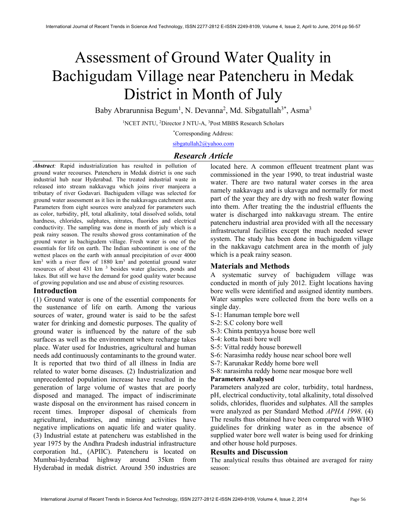# Assessment of Ground Water Quality in Bachigudam Village near Patencheru in Medak District in Month of July

Baby Abrarunnisa Begum<sup>1</sup>, N. Devanna<sup>2</sup>, Md. Sibgatullah<sup>3\*</sup>, Asma<sup>3</sup>

<sup>1</sup>NCET JNTU, <sup>2</sup>Director J NTU-A, <sup>3</sup>Post MBBS Research Scholars

\*Corresponding Address:

sibgatullah2@yahoo.com

# Research Article

Abstract: Rapid industrialization has resulted in pollution of ground water recourses. Patencheru in Medak district is one such industrial hub near Hyderabad. The treated industrial waste in released into stream nakkavagu which joins river manjeera a tributary of river Godavari. Bachigudem village was selected for ground water assessment as it lies in the nakkavagu catchment area. Parameters from eight sources were analyzed for parameters such as color, turbidity, pH, total alkalinity, total dissolved solids, total hardness, chlorides, sulphates, nitrates, fluorides and electrical conductivity. The sampling was done in month of july which is a peak rainy season. The results showed gross contamination of the ground water in bachigudem village. Fresh water is one of the essentials for life on earth. The Indian subcontinent is one of the wettest places on the earth with annual precipitation of over 4000  $km<sup>3</sup>$  with a river flow of 1880 km<sup>3</sup> and potential ground water resources of about 431 km<sup>3</sup> besides water glaciers, ponds and lakes. But still we have the demand for good quality water because of growing population and use and abuse of existing resources.

# Introduction

(1) Ground water is one of the essential components for the sustenance of life on earth. Among the various sources of water, ground water is said to be the safest water for drinking and domestic purposes. The quality of ground water is influenced by the nature of the sub surfaces as well as the environment where recharge takes place. Water used for Industries, agricultural and human needs add continuously contaminants to the ground water. It is reported that two third of all illness in India are related to water borne diseases. (2) Industrialization and unprecedented population increase have resulted in the generation of large volume of wastes that are poorly disposed and managed. The impact of indiscriminate waste disposal on the environment has raised concern in recent times. Improper disposal of chemicals from agricultural, industries, and mining activities have negative implications on aquatic life and water quality. (3) Industrial estate at patencheru was established in the year 1975 by the Andhra Pradesh industrial infrastructure corporation ltd., (APIIC). Patencheru is located on Mumbai-hyderabad highway around 35km from Hyderabad in medak district. Around 350 industries are located here. A common effleuent treatment plant was commissioned in the year 1990, to treat industrial waste water. There are two natural water corses in the area namely nakkavagu and is ukavagu and normally for most part of the year they are dry with no fresh water flowing into them. After treating the the industrial effluents the water is discharged into nakkavagu stream. The entire patencheru industrial area provided with all the necessary infrastructural facilities except the much needed sewer system. The study has been done in bachigudem village in the nakkavagu catchment area in the month of july which is a peak rainy season.

# Materials and Methods

A systematic survey of bachigudem village was conducted in month of july 2012. Eight locations having bore wells were identified and assigned identity numbers. Water samples were collected from the bore wells on a single day.

- S-1: Hanuman temple bore well
- S-2: S.C colony bore well
- S-3: Chinta pentayya house bore well
- S-4: kotta basti bore well
- S-5: Vittal reddy house borewell
- S-6: Narasimha reddy house near school bore well
- S-7: Karunakar Reddy home bore well

S-8: narasimha reddy home near mosque bore well Parameters Analysed

Parameters analyzed are color, turbidity, total hardness, pH, electrical conductivity, total alkalinity, total dissolved solids, chlorides, fluorides and sulphates. All the samples were analyzed as per Standard Method APHA 1998. (4) The results thus obtained have been compared with WHO guidelines for drinking water as in the absence of supplied water bore well water is being used for drinking and other house hold purposes.

# Results and Discussion

The analytical results thus obtained are averaged for rainy season: